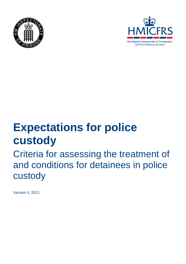



# **Expectations for police custody**

## Criteria for assessing the treatment of and conditions for detainees in police custody

Version 4, 2021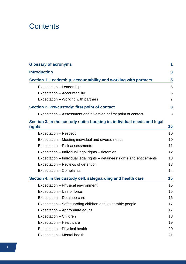## **Contents**

| <b>Glossary of acronyms</b>                                                       |                  |
|-----------------------------------------------------------------------------------|------------------|
| <b>Introduction</b>                                                               | $\boldsymbol{3}$ |
| Section 1. Leadership, accountability and working with partners                   | 5                |
| Expectation - Leadership                                                          | 5                |
| Expectation - Accountability                                                      | 5                |
| Expectation – Working with partners                                               | $\overline{7}$   |
| Section 2. Pre-custody: first point of contact                                    | 8                |
| Expectation – Assessment and diversion at first point of contact                  | 8                |
| Section 3. In the custody suite: booking in, individual needs and legal<br>rights | 10               |
| Expectation - Respect                                                             | 10               |
| Expectation – Meeting individual and diverse needs                                | 10               |
| Expectation - Risk assessments                                                    | 11               |
| Expectation - Individual legal rights - detention                                 | 12               |
| Expectation – Individual legal rights – detainees' rights and entitlements        | 13               |
| Expectation – Reviews of detention                                                | 13               |
| Expectation - Complaints                                                          | 14               |
| Section 4. In the custody cell, safeguarding and health care                      | 15               |
| Expectation - Physical environment                                                | 15               |
| Expectation – Use of force                                                        | 15               |
| Expectation - Detainee care                                                       | 16               |
| Expectation - Safeguarding children and vulnerable people                         | 17               |
| Expectation – Appropriate adults                                                  | 17               |
| Expectation - Children                                                            | 18               |
| Expectation - Healthcare                                                          | 19               |
| Expectation - Physical health                                                     | 20               |
| Expectation - Mental health                                                       | 21               |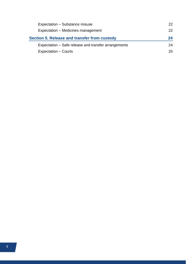| Expectation - Substance misuse                       | 22 |
|------------------------------------------------------|----|
| Expectation - Medicines management                   | 22 |
| Section 5. Release and transfer from custody         | 24 |
| Expectation – Safe release and transfer arrangements | 24 |
| Expectation – Courts                                 | 25 |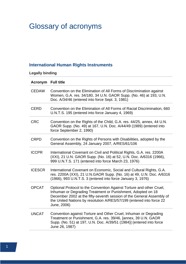## <span id="page-3-0"></span>Glossary of acronyms

## **International Human Rights Instruments**

## **Legally binding**

| <b>Acronym</b> Full title |                                                                                                                                                                                                                                                                                                     |
|---------------------------|-----------------------------------------------------------------------------------------------------------------------------------------------------------------------------------------------------------------------------------------------------------------------------------------------------|
| <b>CEDAW</b>              | Convention on the Elimination of All Forms of Discrimination against<br>Women, G.A. res. 34/180, 34 U.N. GAOR Supp. (No. 46) at 193, U.N.<br>Doc. A/34/46 (entered into force Sept. 3, 1981)                                                                                                        |
| <b>CERD</b>               | Convention on the Elimination of All Forms of Racial Discrimination, 660<br>U.N.T.S. 195 (entered into force January 4, 1969)                                                                                                                                                                       |
| <b>CRC</b>                | Convention on the Rights of the Child, G.A. res. 44/25, annex, 44 U.N.<br>GAOR Supp. (No. 49) at 167, U.N. Doc. A/44/49 (1989) (entered into<br>force September 2, 1990)                                                                                                                            |
| <b>CRPD</b>               | Convention on the Rights of Persons with Disabilities, adopted by the<br>General Assembly, 24 January 2007, A/RES/61/106                                                                                                                                                                            |
| <b>ICCPR</b>              | International Covenant on Civil and Political Rights, G.A. res. 2200A<br>(XXI), 21 U.N. GAOR Supp. (No. 16) at 52, U.N. Doc. A/6316 (1966),<br>999 U.N.T.S. 171 (entered into force March 23, 1976)                                                                                                 |
| <b>ICESCR</b>             | International Covenant on Economic, Social and Cultural Rights, G.A.<br>res. 2200A (XXI), 21 U.N.GAOR Supp. (No. 16) at 49, U.N. Doc. A/6316<br>(1966), 993 U.N.T.S. 3 (entered into force January 3, 1976)                                                                                         |
| <b>OPCAT</b>              | Optional Protocol to the Convention Against Torture and other Cruel,<br>Inhuman or Degrading Treatment or Punishment, Adopted on 18<br>December 2002 at the fifty-seventh session of the General Assembly of<br>the United Nations by resolution A/RES/57/199 (entered into force 22<br>June, 2006) |
| <b>UNCAT</b>              | Convention against Torture and Other Cruel, Inhuman or Degrading<br>Treatment or Punishment, G.A. res. 39/46, [annex, 39 U.N. GAOR<br>Supp. (No. 51) at 197, U.N. Doc. A/39/51 (1984)] (entered into force<br>June 26, 1987)                                                                        |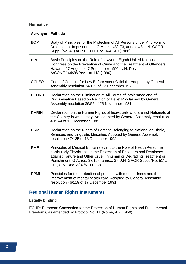#### **Normative**

| <b>Acronym</b> Full title |                                                                                                                                                                                                                                                                                                                               |
|---------------------------|-------------------------------------------------------------------------------------------------------------------------------------------------------------------------------------------------------------------------------------------------------------------------------------------------------------------------------|
| <b>BOP</b>                | Body of Principles for the Protection of All Persons under Any Form of<br>Detention or Imprisonment, G.A. res. 43/173, annex, 43 U.N. GAOR<br>Supp. (No. 49) at 298, U.N. Doc. A/43/49 (1988)                                                                                                                                 |
| <b>BPRL</b>               | Basic Principles on the Role of Lawyers, Eighth United Nations<br>Congress on the Prevention of Crime and the Treatment of Offenders,<br>Havana, 27 August to 7 September 1990, U.N. Doc.<br>A/CONF.144/28/Rev.1 at 118 (1990)                                                                                                |
| <b>CCLEO</b>              | Code of Conduct for Law Enforcement Officials, Adopted by General<br>Assembly resolution 34/169 of 17 December 1979                                                                                                                                                                                                           |
| <b>DEDRB</b>              | Declaration on the Elimination of All Forms of Intolerance and of<br>Discrimination Based on Religion or Belief Proclaimed by General<br>Assembly resolution 36/55 of 25 November 1981                                                                                                                                        |
| <b>DHRIN</b>              | Declaration on the Human Rights of Individuals who are not Nationals of<br>the Country in which they live, adopted by General Assembly resolution<br>40/144 of 13 December 1985                                                                                                                                               |
| <b>DRM</b>                | Declaration on the Rights of Persons Belonging to National or Ethnic,<br>Religious and Linguistic Minorities Adopted by General Assembly<br>resolution 47/135 of 18 December 1992                                                                                                                                             |
| <b>PME</b>                | Principles of Medical Ethics relevant to the Role of Health Personnel,<br>particularly Physicians, in the Protection of Prisoners and Detainees<br>against Torture and Other Cruel, Inhuman or Degrading Treatment or<br>Punishment, G.A. res. 37/194, annex, 37 U.N. GAOR Supp. (No. 51) at<br>211, U.N. Doc. A/37/51 (1982) |
| <b>PPMI</b>               | Principles for the protection of persons with mental illness and the<br>improvement of mental health care. Adopted by General Assembly<br>resolution 46/119 of 17 December 1991                                                                                                                                               |

## **Regional Human Rights Instruments**

#### **Legally binding**

ECHR: European Convention for the Protection of Human Rights and Fundamental Freedoms, as amended by Protocol No. 11 (Rome, 4.XI.1950)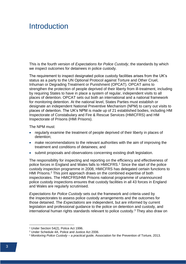## <span id="page-5-0"></span>Introduction

This is the fourth version of *Expectations for Police Custody*, the standards by which we inspect outcomes for detainees in police custody.

The requirement to inspect designated police custody facilities arises from the UK's status as a party to the UN Optional Protocol against Torture and Other Cruel, Inhuman or Degrading Treatment or Punishment (OPCAT). OPCAT aims to strengthen the protection of people deprived of their liberty from ill-treatment, including by requiring States to have in place a system of regular, independent visits to all places of detention. OPCAT sets out both an international and a national framework for monitoring detention. At the national level, States Parties must establish or designate an independent National Preventive Mechanism (NPM) to carry out visits to places of detention. The UK's NPM is made up of 21 established bodies, including HM Inspectorate of Constabulary and Fire & Rescue Services (HMICFRS) and HM Inspectorate of Prisons (HMI Prisons).

The NPM must:

- regularly examine the treatment of people deprived of their liberty in places of detention;
- make recommendations to the relevant authorities with the aim of improving the treatment and conditions of detainees; and
- submit proposals and observations concerning existing draft legislation.

The responsibility for inspecting and reporting on the efficiency and effectiveness of police forces in England and Wales falls to HMICFRS.<sup>1</sup> Since the start of the police custody inspection programme in 2008, HMICFRS has delegated certain functions to HMI Prisons.<sup>2</sup> This joint approach draws on the combined expertise of both inspectorates. The HMICFRS/HMI Prisons national programme of unannounced police custody inspections ensures that custody facilities in all 43 forces in England and Wales are regularly scrutinised.

*Expectations for Police Custody* sets out the framework and criteria used by the inspectorates to assess police custody arrangements and the outcomes for those detained. The *Expectations* are independent, but are informed by current legislation and professional guidance to the police on detention and custody, and international human rights standards relevant to police custody.<sup>3</sup> They also draw on

<sup>&</sup>lt;sup>1</sup> Under Section 54(2), Police Act 1996.

<sup>2</sup> Under Schedule 4A, Police and Justice Act 2006.

<sup>3</sup> *Monitoring Police Custody – a practical guide,* Association for the Prevention of Torture, 2013.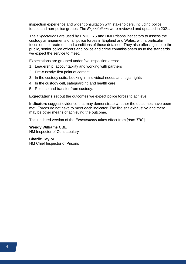inspection experience and wider consultation with stakeholders, including police forces and non-police groups. The *Expectations* were reviewed and updated in 2021.

The *Expectations* are used by HMICFRS and HMI Prisons inspectors to assess the custody arrangements of all police forces in England and Wales, with a particular focus on the treatment and conditions of those detained. They also offer a guide to the public, senior police officers and police and crime commissioners as to the standards we expect the service to meet.

Expectations are grouped under five inspection areas:

- 1. Leadership, accountability and working with partners
- 2. Pre-custody: first point of contact
- 3. In the custody suite: booking in, individual needs and legal rights
- 4. In the custody cell, safeguarding and health care
- 5. Release and transfer from custody.

**Expectations** set out the outcomes we expect police forces to achieve.

**Indicators** suggest evidence that may demonstrate whether the outcomes have been met. Forces do not have to meet each indicator. The list isn't exhaustive and there may be other means of achieving the outcome.

This updated version of the *Expectations* takes effect from [*date TBC*].

**Wendy Williams CBE**

HM Inspector of Constabulary

#### **Charlie Taylor**

HM Chief Inspector of Prisons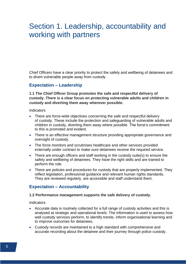## <span id="page-7-0"></span>Section 1. Leadership, accountability and working with partners

Chief Officers have a clear priority to protect the safety and wellbeing of detainees and to divert vulnerable people away from custody.

### <span id="page-7-1"></span>**Expectation – Leadership**

**1.1 The Chief Officer Group promotes the safe and respectful delivery of custody. There is a clear focus on protecting vulnerable adults and children in custody and diverting them away wherever possible.**

Indicators

- There are force-wide objectives concerning the safe and respectful delivery of custody. These include the protection and safeguarding of vulnerable adults and children in custody, diverting them away where possible. The force's commitment to this is promoted and evident.
- There is an effective management structure providing appropriate governance and oversight of custody.
- The force monitors and scrutinises healthcare and other services provided externally under contract to make sure detainees receive the required service.
- There are enough officers and staff working in the custody suite(s) to ensure the safety and wellbeing of detainees. They have the right skills and are trained to perform the role.
- There are policies and procedures for custody that are properly implemented. They reflect legislation, professional guidance and relevant human rights standards. They are reviewed regularly, are accessible and staff understand them.

### <span id="page-7-2"></span>**Expectation – Accountability**

#### **1.2 Performance management supports the safe delivery of custody.**

- Accurate data is routinely collected for a full range of custody activities and this is analysed at strategic and operational levels. The information is used to assess how well custody services perform, to identify trends, inform organisational learning and to improve outcomes for detainees.
- Custody records are maintained to a high standard with comprehensive and accurate recording about the detainee and their journey through police custody.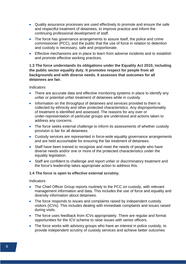- Quality assurance processes are used effectively to promote and ensure the safe and respectful treatment of detainees, to improve practice and inform the continuing professional development of staff.
- The force has governance arrangements to assure itself, the police and crime commissioner (PCC), and the public that the use of force in relation to detention and custody is necessary, safe and proportionate.
- Effective mechanisms are in place to learn from adverse incidents and to establish and promote effective working practices.

#### **1.3 The force understands its obligations under the Equality Act 2010, including the public sector equality duty. It promotes respect for people from all backgrounds and with diverse needs. It assesses that outcomes for all detainees are fair.**

#### Indicators

- There are accurate data and effective monitoring systems in place to identify any unfair or potential unfair treatment of detainees while in custody.
- Information on the throughput of detainees and services provided to them is collected by ethnicity and other protected characteristics. Any disproportionality of treatment is identified and assessed. The reasons for any over or under-representation of particular groups are understood and actions taken to address any concerns.
- The force seeks external challenge to inform its assessments of whether custody provision is fair for all detainees.
- Custody services are represented in force-wide equality governance arrangements and are held accountable for ensuring the fair treatment of detainees.
- Staff have been trained to recognise and meet the needs of people who have diverse needs and/or one or more of the protected characteristics under the equality legislation.
- Staff are confident to challenge and report unfair or discriminatory treatment and the force's leadership takes appropriate action to address this.

#### **1.4 The force is open to effective external scrutiny.**

- The Chief Officer Group reports routinely to the PCC on custody, with relevant management information and data. This includes the use of force and equality and diversity information about detainees.
- The force responds to issues and complaints raised by independent custody visitors (ICVs). This includes dealing with immediate complaints and issues raised during visits.
- The force uses feedback from ICVs appropriately. There are regular and formal opportunities for the ICV scheme to raise issues with senior officers.
- The force works with advisory groups who have an interest in police custody, to provide independent scrutiny of custody services and achieve better outcomes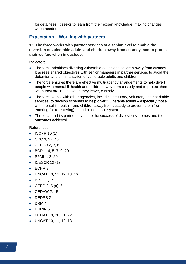for detainees. It seeks to learn from their expert knowledge, making changes when needed.

## <span id="page-9-0"></span>**Expectation – Working with partners**

**1.5 The force works with partner services at a senior level to enable the diversion of vulnerable adults and children away from custody, and to protect their welfare when in custody.**

**Indicators** 

- The force prioritises diverting vulnerable adults and children away from custody. It agrees shared objectives with senior managers in partner services to avoid the detention and criminalisation of vulnerable adults and children.
- The force ensures there are effective multi-agency arrangements to help divert people with mental ill-health and children away from custody and to protect them when they are in, and when they leave, custody.
- The force works with other agencies, including statutory, voluntary and charitable services, to develop schemes to help divert vulnerable adults – especially those with mental ill-health – and children away from custody to prevent them from entering (or re-entering) the criminal justice system.
- The force and its partners evaluate the success of diversion schemes and the outcomes achieved.

References

- ICCPR 10 (1)
- CRC 3, 37, 40
- CCLEO 2, 3, 6
- BOP 1, 4, 5, 7, 9, 29
- PPMI 1, 2, 20
- $\bullet$  ICESCR 12(1)
- ECHR 3
- UNCAT 10, 11, 12, 13, 16
- BPUF 1, 15
- CERD 2, 5 (a), 6
- CEDAW 2, 15
- DEDRB2
- DRM 4
- DHRIN 5
- OPCAT 19, 20, 21, 22
- UNCAT 10, 11, 12, 13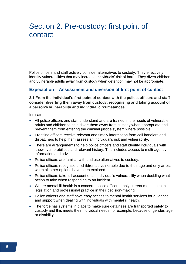## <span id="page-10-0"></span>Section 2. Pre-custody: first point of contact

Police officers and staff actively consider alternatives to custody. They effectively identify vulnerabilities that may increase individuals' risk of harm. They divert children and vulnerable adults away from custody when detention may not be appropriate.

### <span id="page-10-1"></span>**Expectation – Assessment and diversion at first point of contact**

#### **2.1 From the individual's first point of contact with the police, officers and staff consider diverting them away from custody, recognising and taking account of a person's vulnerability and individual circumstances.**

- All police officers and staff understand and are trained in the needs of vulnerable adults and children to help divert them away from custody when appropriate and prevent them from entering the criminal justice system where possible.
- Frontline officers receive relevant and timely information from call handlers and dispatchers to help them assess an individual's risk and vulnerability.
- There are arrangements to help police officers and staff identify individuals with known vulnerabilities and relevant history. This includes access to multi-agency information and advice.
- Police officers are familiar with and use alternatives to custody.
- Police officers recognise all children as vulnerable due to their age and only arrest when all other options have been explored.
- Police officers take full account of an individual's vulnerability when deciding what action to take when responding to an incident.
- Where mental ill-health is a concern, police officers apply current mental health legislation and professional practice in their decision-making.
- Police officers and staff have easy access to mental health services for guidance and support when dealing with individuals with mental ill health.
- The force has systems in place to make sure detainees are transported safely to custody and this meets their individual needs, for example, because of gender, age or disability.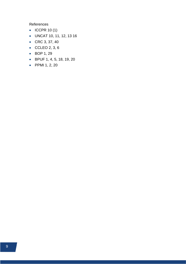References

- ICCPR 10 (1)
- UNCAT 10, 11, 12, 13 16
- CRC 3, 37, 40
- CCLEO 2, 3, 6
- BOP 1, 29
- BPUF 1, 4, 5, 18, 19, 20
- PPMI 1, 2, 20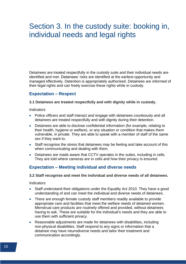## <span id="page-12-0"></span>Section 3. In the custody suite: booking in, individual needs and legal rights

Detainees are treated respectfully in the custody suite and their individual needs are identified and met. Detainees' risks are identified at the earliest opportunity and managed effectively. Detention is appropriately authorised. Detainees are informed of their legal rights and can freely exercise these rights while in custody.

### <span id="page-12-1"></span>**Expectation – Respect**

#### **3.1 Detainees are treated respectfully and with dignity while in custody.**

**Indicators** 

- Police officers and staff interact and engage with detainees courteously and all detainees are treated respectfully and with dignity during their detention.
- Detainees are able to disclose confidential information (for example, relating to their health, hygiene or welfare), or any situation or condition that makes them vulnerable, in private. They are able to speak with a member of staff of the same sex if they want to.
- Staff recognise the stress that detainees may be feeling and take account of this when communicating and dealing with them.
- Detainees are made aware that CCTV operates in the suites, including in cells. They are told where cameras are in cells and how their privacy is ensured.

### <span id="page-12-2"></span>**Expectation – Meeting individual and diverse needs**

#### **3.2 Staff recognise and meet the individual and diverse needs of all detainees.**

- Staff understand their obligations under the Equality Act 2010. They have a good understanding of and can meet the individual and diverse needs of detainees.
- There are enough female custody staff members readily available to provide appropriate care and facilities that meet the welfare needs of detained women. Menstrual care products are routinely offered and provided, without detainees having to ask. These are suitable for the individual's needs and they are able to use them with sufficient privacy.
- Reasonable adjustments are made for detainees with disabilities, including non-physical disabilities. Staff respond to any signs or information that a detainee may have neurodiverse needs and tailor their treatment and communication accordingly.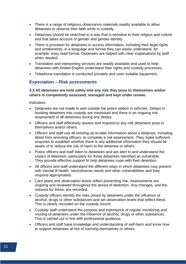- There is a range of religious observance materials readily available to allow detainees to observe their faith while in custody.
- Detainees should be searched in a way that is sensitive to their religion and culture and that takes account of gender and gender identity.
- There is provision for detainees to access information, including their legal rights and entitlements, in a language and format they can easily understand, for example, easy read format. Detainees are helped with clear explanations by staff when needed.
- Translation and interpreting services are readily available and used to help detainees with limited English understand their rights and custody processes.
- Telephone translation is conducted privately and uses suitable equipment.

### <span id="page-13-0"></span>**Expectation – Risk assessments**

**3.3 All detainees are held safely and any risk they pose to themselves and/or others is competently assessed, managed and kept under review.**

- Detainees are not made to wait outside the police station in vehicles. Delays in booking detainees into custody are minimised and there is an ongoing risk assessment of all detainees during any delays.
- Officers and staff effectively assess and respond to any risk detainees pose to themselves and/or others.
- Officers and staff use all existing up-to-date information about a detainee, including detail from arresting officers, to complete a risk assessment. They make sufficient enquiries to establish whether there is any additional information they should be aware of to reduce the risk of harm to the detainee or others.
- Police officers and staff listen to detainees and are alert to and understand the impact of detention, particularly for those detainees identified as vulnerable. They provide effective support to help detainees cope with their detention.
- All officers and staff understand the different ways in which detainees may present with mental ill-health, neurodiverse needs and other vulnerabilities and they respond appropriately.
- Care plans and observation levels reflect presenting risk. Assessments are ongoing and reviewed throughout the period of detention. Any changes, and the reasons for these, are recorded.
- Custody officers identify the risks posed by detainees under the influence of alcohol, drugs or other substances and set observation levels that reflect these. This is clearly recorded on the custody record.
- Custody staff understand the purpose and importance of regular monitoring and rousing of detainees under the influence of alcohol, drugs or other substances. This is carried out in line with professional guidance.
- Officers and staff have knowledge and understanding of self-harm and know how to support detainees at risk of harming themselves or others.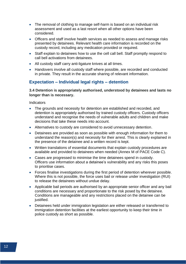- The removal of clothing to manage self-harm is based on an individual risk assessment and used as a last resort when all other options have been considered.
- Officers and staff involve health services as needed to assess and manage risks presented by detainees. Relevant health care information is recorded on the custody record, including any medication provided or required.
- Staff explain to detainees how to use the cell call bell. Staff promptly respond to call bell activations from detainees.
- All custody staff carry anti-ligature knives at all times.
- Handovers involve all custody staff where possible, are recorded and conducted in private. They result in the accurate sharing of relevant information.

## <span id="page-14-0"></span>**Expectation – Individual legal rights – detention**

**3.4 Detention is appropriately authorised, understood by detainees and lasts no longer than is necessary.**

- The grounds and necessity for detention are established and recorded, and detention is appropriately authorised by trained custody officers. Custody officers understand and recognise the needs of vulnerable adults and children and make decisions that take these needs into account.
- Alternatives to custody are considered to avoid unnecessary detention.
- Detainees are provided as soon as possible with enough information for them to understand the reason(s) and necessity for their arrest. This is clearly explained in the presence of the detainee and a written record is kept.
- Written translations of essential documents that explain custody procedures are available and provided to detainees when needed (Annex M of PACE Code C).
- Cases are progressed to minimise the time detainees spend in custody. Officers use information about a detainee's vulnerability and any risks this poses to prioritise cases.
- Forces finalise investigations during the first period of detention wherever possible. Where this is not possible, the force uses bail or release under investigation (RUI) to release the detainees without undue delay.
- Applicable bail periods are authorised by an appropriate senior officer and any bail conditions are necessary and proportionate to the risk posed by the detainee. Conditions are manageable and any restrictions placed on the detainee can be justified.
- Detainees held under immigration legislation are either released or transferred to immigration detention facilities at the earliest opportunity to keep their time in police custody as short as possible.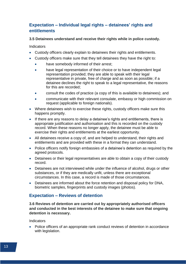## <span id="page-15-0"></span>**Expectation – Individual legal rights – detainees' rights and entitlements**

#### **3.5 Detainees understand and receive their rights while in police custody.**

**Indicators** 

- Custody officers clearly explain to detainees their rights and entitlements.
- Custody officers make sure that they tell detainees they have the right to:
	- have somebody informed of their arrest;
	- have legal representation of their choice or to have independent legal representation provided; they are able to speak with their legal representative in private, free of charge and as soon as possible; if a detainee declines the right to speak to a legal representative, the reasons for this are recorded;
	- consult the codes of practice (a copy of this is available to detainees); and
	- communicate with their relevant consulate, embassy or high commission on request (applicable to foreign nationals).
- Where detainees wish to exercise these rights, custody officers make sure this happens promptly.
- If there are any reasons to delay a detainee's rights and entitlements, there is appropriate justification and authorisation and this is recorded on the custody record. When these reasons no longer apply, the detainee must be able to exercise their rights and entitlements at the earliest opportunity.
- All detainees receive a copy of, and are helped to understand, their rights and entitlements and are provided with these in a format they can understand.
- Police officers notify foreign embassies of a detainee's detention as required by the agreed protocols.
- Detainees or their legal representatives are able to obtain a copy of their custody record.
- Detainees are not interviewed while under the influence of alcohol, drugs or other substances, or if they are medically unfit, unless there are exceptional circumstances. In this case, a record is made of those circumstances.
- Detainees are informed about the force retention and disposal policy for DNA, biometric samples, fingerprints and custody images (photos).

## <span id="page-15-1"></span>**Expectation – Reviews of detention**

**3.6 Reviews of detention are carried out by appropriately authorised officers and conducted in the best interests of the detainee to make sure that ongoing detention is necessary.**

**Indicators** 

• Police officers of an appropriate rank conduct reviews of detention in accordance with legislation.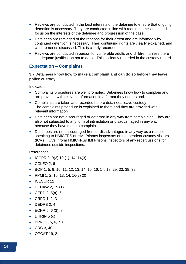- Reviews are conducted in the best interests of the detainee to ensure that ongoing detention is necessary. They are conducted in line with required timescales and focus on the interests of the detainee and progression of the case.
- Detainees are reminded of the reasons for their arrest and are informed why continued detention is necessary. Their continuing rights are clearly explained, and welfare needs discussed. This is clearly recorded.
- Reviews are conducted in person for vulnerable adults and children, unless there is adequate justification not to do so. This is clearly recorded in the custody record.

## <span id="page-16-0"></span>**Expectation – Complaints**

#### **3.7 Detainees know how to make a complaint and can do so before they leave police custody.**

Indicators

- Complaints procedures are well promoted. Detainees know how to complain and are provided with relevant information in a format they understand.
- Complaints are taken and recorded before detainees leave custody. The complaints procedure is explained to them and they are provided with relevant information.
- Detainees are not discouraged or deterred in any way from complaining. They are also not subjected to any form of intimidation or disadvantaged in any way because they have made a complaint.
- Detainees are not discouraged from or disadvantaged in any way as a result of speaking to HMICFRS or HMI Prisons inspectors or independent custody visitors (ICVs). ICVs inform HMICFRS/HMI Prisons inspectors of any repercussions for detainees outside inspections.

References

- ICCPR 9,  $9(2)$ , 10 (1), 14, 14(3)
- CCLEO 2, 6
- BOP 1, 5, 9, 10, 11, 12, 13, 14, 15, 16, 17, 18, 29, 33, 38, 39
- PPMI 1, 2, 10, 13, 14, 16(2) 20
- ICESCR 12
- CEDAW 2, 15 (1)
- CERD 2, 5(a), 6
- CRPD 1, 2, 3
- DEDRB 2, 4
- ECHR  $5, 6 (3), 8$
- DHRIN  $5$  (c)
- BPRL 1, 5, 6, 7, 8
- CRC 3, 40
- OPCAT 19, 21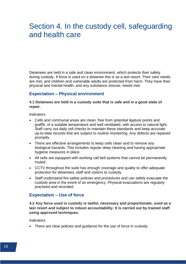## <span id="page-17-0"></span>Section 4. In the custody cell, safeguarding and health care

Detainees are held in a safe and clean environment, which protects their safety during custody. If force is used on a detainee this is as a last resort. Their care needs are met, and children and vulnerable adults are protected from harm. They have their physical and mental health, and any substance misuse, needs met.

### <span id="page-17-1"></span>**Expectation – Physical environment**

#### **4.1 Detainees are held in a custody suite that is safe and in a good state of repair.**

**Indicators** 

- Cells and communal areas are clean, free from potential ligature points and graffiti, of a suitable temperature and well ventilated, with access to natural light. Staff carry out daily cell checks to maintain these standards and keep accurate up-to-date records that are subject to routine monitoring. Any defects are repaired promptly.
- There are effective arrangements to keep cells clean and to remove any biological hazards. This includes regular deep cleaning and having appropriate hygiene measures in place.
- All cells are equipped with working call bell systems that cannot be permanently muted.
- CCTV throughout the suite has enough coverage and quality to offer adequate protection for detainees, staff and visitors to custody.
- Staff understand fire safety policies and procedures and can safely evacuate the custody area in the event of an emergency. Physical evacuations are regularly practised and recorded.

### <span id="page-17-2"></span>**Expectation – Use of force**

**4.2 Any force used in custody is lawful, necessary and proportionate, used as a last resort and subject to robust accountability. It is carried out by trained staff using approved techniques.**

Indicators

• There are clear policies and guidance for the use of force in custody.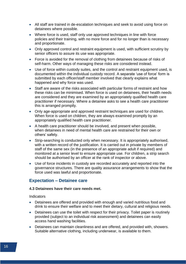- All staff are trained in de-escalation techniques and seek to avoid using force on detainees where possible.
- Where force is used, staff only use approved techniques in line with force policies and their training, with no more force and for no longer than is necessary and proportionate.
- Only approved control and restraint equipment is used, with sufficient scrutiny by senior officers to assure its use was appropriate.
- Force is avoided for the removal of clothing from detainees because of risks of self-harm. Other ways of managing these risks are considered instead.
- Use of force within custody suites, and the control and restraint equipment used, is documented within the individual custody record. A separate 'use of force' form is submitted by each officer/staff member involved that clearly explains what happened and why force was used.
- Staff are aware of the risks associated with particular forms of restraint and how these risks can be minimised. When force is used on detainees, their health needs are considered and they are examined by an appropriately qualified health care practitioner if necessary. Where a detainee asks to see a health care practitioner this is arranged promptly.
- Only age-appropriate and approved restraint techniques are used for children. When force is used on children, they are always examined promptly by an appropriately qualified health care practitioner.
- A health care practitioner should be involved, and present when possible, when detainees in need of mental health care are restrained for their own or others' safety.
- Strip-searching is conducted only when necessary. It is appropriately authorised, with a written record of the justification. It is carried out in private by members of staff of the same sex (in the presence of an appropriate adult if required) and monitored at a senior level to ensure appropriate use. For children, a strip search should be authorised by an officer at the rank of inspector or above.
- Use of force incidents in custody are recorded accurately and reported into the governance structures. There are quality assurance arrangements to show that the force used was lawful and proportionate.

#### <span id="page-18-0"></span>**Expectation – Detainee care**

#### **4.3 Detainees have their care needs met.**

- Detainees are offered and provided with enough and varied nutritious food and drink to ensure their welfare and to meet their dietary, cultural and religious needs.
- Detainees can use the toilet with respect for their privacy. Toilet paper is routinely provided (subject to an individual risk assessment) and detainees can easily access hand washing facilities.
- Detainees can maintain cleanliness and are offered, and provided with, showers. Suitable alternative clothing, including underwear, is available to them.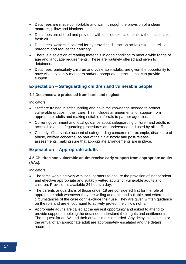- Detainees are made comfortable and warm through the provision of a clean mattress, pillow and blankets.
- Detainees are offered and provided with outside exercise to allow them access to fresh air.
- Detainees' welfare is catered for by providing distraction activities to help relieve boredom and reduce their anxiety.
- There is a selection of reading materials in good condition to meet a wide range of age and language requirements. These are routinely offered and given to detainees.
- Detainees, particularly children and vulnerable adults, are given the opportunity to have visits by family members and/or appropriate agencies that can provide support.

## <span id="page-19-0"></span>**Expectation – Safeguarding children and vulnerable people**

#### **4.4 Detainees are protected from harm and neglect.**

**Indicators** 

- Staff are trained in safeguarding and have the knowledge needed to protect vulnerable groups in their care. This includes arrangements for support from appropriate adults and making suitable referrals to partner agencies.
- Current government and local guidance about safeguarding children and adults is accessible and safeguarding procedures are understood and used by all staff.
- Custody officers take account of safeguarding concerns (for example, disclosure of abuse, welfare concerns) as part of their in-custody and post-release assessments, making sure that appropriate arrangements are in place.

## <span id="page-19-1"></span>**Expectation – Appropriate adults**

#### **4.5 Children and vulnerable adults receive early support from appropriate adults (AAs).**

- The force works actively with local partners to ensure the provision of independent and effective appropriate and suitably vetted adults for vulnerable adults and children. Provision is available 24 hours a day.
- The parents or guardians of those under 18 are considered first for the role of appropriate adult whenever they are willing and able and suitable, and where the circumstances of the case don't exclude their use. They are given written guidance on the role and are encouraged to actively protect the child's rights.
- Appropriate adults are called at the earliest opportunity and asked to attend to provide support in helping the detainee understand their rights and entitlements. The request for an AA and their arrival time is recorded. Any delays in securing or the arrival of an appropriate adult are appropriately escalated and the details recorded.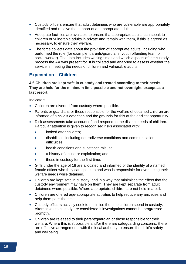- Custody officers ensure that adult detainees who are vulnerable are appropriately identified and receive the support of an appropriate adult.
- Adequate facilities are available to ensure that appropriate adults can speak to children or vulnerable adults in private and remain with them, if this is agreed as necessary, to ensure their welfare.
- The force collects data about the provision of appropriate adults, including who performed the role (for example, parents/guardians, youth offending team or social worker). The data includes waiting times and which aspects of the custody process the AA was present for. It is collated and analysed to assess whether the service is meeting the needs of children and vulnerable adults.

### <span id="page-20-0"></span>**Expectation – Children**

**4.6 Children are kept safe in custody and treated according to their needs. They are held for the minimum time possible and not overnight, except as a last resort.**

- Children are diverted from custody where possible.
- Parents or guardians or those responsible for the welfare of detained children are informed of a child's detention and the grounds for this at the earliest opportunity.
- Risk assessments take account of and respond to the distinct needs of children. Particular attention is given to recognised risks associated with:
	- looked after children;
	- disabilities, including neurodiverse conditions and communication difficulties;
	- health conditions and substance misuse;
	- a history of abuse or exploitation; and
	- those in custody for the first time.
- Girls under the age of 18 are allocated and informed of the identity of a named female officer who they can speak to and who is responsible for overseeing their welfare needs while detained.
- Children are kept safe in custody, and in a way that minimises the effect that the custody environment may have on them. They are kept separate from adult detainees where possible. Where appropriate, children are not held in a cell.
- Children are offered age-appropriate activities to help reduce any anxieties and help them pass the time.
- Custody officers actively seek to minimise the time children spend in custody. Alternatives to custody are considered if investigations cannot be progressed promptly.
- Children are released to their parent/guardian or those responsible for their welfare. Where this isn't possible and/or there are safeguarding concerns, there are effective arrangements with the local authority to ensure the child's safety and wellbeing.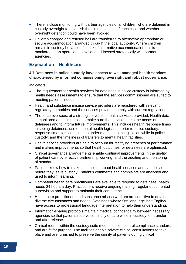- There is close monitoring with partner agencies of all children who are detained in custody overnight to establish the circumstances of each case and whether overnight detention could have been avoided.
- Children charged and refused bail are transferred to alternative appropriate or secure accommodation arranged through the local authority. Where children remain in custody because of a lack of alternative accommodation this is monitored at an operational level and addressed strategically with partner agencies.

## <span id="page-21-0"></span>**Expectation – Healthcare**

#### **4.7 Detainees in police custody have access to well managed health services characterised by informed commissioning, oversight and robust governance.**

- The requirement for health services for detainees in police custody is informed by health needs assessments to ensure that the services commissioned are suited to meeting patients' needs.
- Health and substance misuse service providers are registered with relevant regulatory authorities and the services provided comply with current regulations.
- The force oversees, at a strategic level, the health services provided. Health data is monitored and scrutinised to make sure the service meets the needs of detainees and to inform future improvements. This includes health response times in seeing detainees; use of mental health legislation prior to police custody; response times for assessments under mental health legislation while in police custody; and the timeliness of transfers to mental health facilities.
- Health service providers are held to account for rectifying breaches of performance and making improvements so that health outcomes for detainees are optimised.
- Clinical governance arrangements enable continual improvements in the quality of patient care by effective partnership working, and the auditing and monitoring of standards.
- Patients know how to make a complaint about health services and can do so before they leave custody. Patient's comments and complaints are analysed and used to inform learning.
- Competent health care practitioners are available to respond to detainees' health needs 24 hours a day. Practitioners receive ongoing training, regular documented supervision and support to maintain their competencies.
- Health care practitioners and substance misuse workers are sensitive to detainees' diverse circumstances and needs. Detainees whose first language isn't English have access to professional language interpretation to help their understanding.
- Information-sharing protocols maintain medical confidentiality between necessary agencies so that patients receive continuity of care while in custody, on transfer and after release.
- Clinical rooms within the custody suite meet infection control compliance standards and are fit for purpose. The facilities enable private clinical consultations to take place and are furnished to preserve the dignity of patients during clinical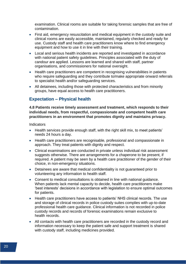examination. Clinical rooms are suitable for taking forensic samples that are free of contamination.

- First aid, emergency resuscitation and medical equipment in the custody suite and clinical rooms are easily accessible, maintained, regularly checked and ready for use. Custody staff and health care practitioners know where to find emergency equipment and how to use it in line with their training.
- Local and serious health incidents are reported and investigated in accordance with national patient safety guidelines. Principles associated with the duty of candour are applied. Lessons are learned and shared with staff, partner organisations, and commissioners for national oversight.
- Health care practitioners are competent in recognising vulnerabilities in patients who require safeguarding and they contribute to/make appropriate onward referrals to specialist health and/or safeguarding services.
- All detainees, including those with protected characteristics and from minority groups, have equal access to health care practitioners.

## <span id="page-22-0"></span>**Expectation – Physical health**

**4.8 Patients receive timely assessment and treatment, which responds to their individual needs, from respectful, compassionate and competent health care practitioners in an environment that promotes dignity and maintains privacy.**

- Health services provide enough staff, with the right skill mix, to meet patients' needs 24 hours a day.
- Health care practitioners are recognisable, professional and compassionate in approach. They treat patients with dignity and respect.
- Clinical examinations are conducted in private unless individual risk assessment suggests otherwise. There are arrangements for a chaperone to be present, if required. A patient may be seen by a health care practitioner of the gender of their choice, in non-emergency situations.
- Detainees are aware that medical confidentiality is not guaranteed prior to volunteering any information to health staff.
- Consent to medical consultations is obtained in line with national guidance. When patients lack mental capacity to decide, health care practitioners make 'best interests' decisions in accordance with legislation to ensure optimal outcomes for patients.
- Health care practitioners have access to patients' NHS clinical records. The use and storage of clinical records in police custody suites complies with up-to-date professional health care guidance. Clinical information is not recorded in police custody records and records of forensic examinations remain exclusive to health records.
- All contacts with health care practitioners are recorded in the custody record and information necessary to keep the patient safe and support treatment is shared with custody staff, including medicines provided.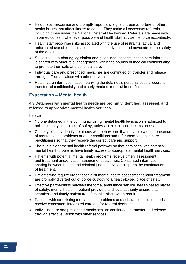- Health staff recognise and promptly report any signs of trauma, torture or other health issues that affect fitness to detain. They make all necessary referrals, including those under the National Referral Mechanism. Referrals are made with informed consent whenever possible and health staff advise the force accordingly.
- Health staff recognise risks associated with the use of restraints, actual and anticipated use of force situations in the custody suite, and advocate for the safety of the detainee.
- Subject to data-sharing legislation and guidelines, patients' health care information is shared with other relevant agencies within the bounds of medical confidentiality to promote their safe and continual care.
- Individual care and prescribed medicines are continued on transfer and release through effective liaison with other services.
- Health care information accompanying the detainee's personal escort record is transferred confidentially and clearly marked 'medical in-confidence'.

## <span id="page-23-0"></span>**Expectation – Mental health**

#### **4.9 Detainees with mental health needs are promptly identified, assessed, and referred to appropriate mental health services.**

- No one detained in the community using mental health legislation is admitted to police custody as a place of safety, unless in exceptional circumstances.
- Custody officers identify detainees with behaviours that may indicate the presence of mental health problems or other conditions and refer them to health care practitioners so that they receive the correct care and support.
- There is a clear mental health referral pathway so that detainees with potential mental health problems have timely access to appropriate mental health services.
- Patients with potential mental health problems receive timely assessment and treatment and/or case management outcomes. Consented information sharing between health and criminal justice services supports the continuation of treatment.
- Patients who require urgent specialist mental health assessment and/or treatment are promptly diverted out of police custody to a health-based place of safety.
- Effective partnerships between the force, ambulance service, health-based places of safety, mental health in-patient providers and local authority ensure that seamless and timely patient transfers take place when required.
- Patients with co-existing mental health problems and substance misuse needs receive consented, integrated care and/or referral decisions.
- Individual care and prescribed medicines are continued on transfer and release through effective liaison with other services.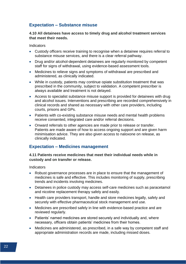## <span id="page-24-0"></span>**Expectation – Substance misuse**

#### **4.10 All detainees have access to timely drug and alcohol treatment services that meet their needs.**

Indicators

- Custody officers receive training to recognise when a detainee requires referral to substance misuse services, and there is a clear referral pathway.
- Drug and/or alcohol-dependent detainees are regularly monitored by competent staff for signs of withdrawal, using evidence-based assessment tools.
- Medicines to relieve signs and symptoms of withdrawal are prescribed and administered, as clinically indicated.
- While in custody, patients may continue opiate substitution treatment that was prescribed in the community, subject to validation. A competent prescriber is always available and treatment is not delayed.
- Access to specialist substance misuse support is provided for detainees with drug and alcohol issues. Interventions and prescribing are recorded comprehensively in clinical records and shared as necessary with other care providers, including courts, prisons and GPs.
- Patients with co-existing substance misuse needs and mental health problems receive consented, integrated care and/or referral decisions.
- Onward referrals to other agencies are made prior to release or transfer. Patients are made aware of how to access ongoing support and are given harm minimisation advice. They are also given access to naloxone on release, as clinically indicated.

## <span id="page-24-1"></span>**Expectation – Medicines management**

#### **4.11 Patients receive medicines that meet their individual needs while in custody and on transfer or release.**

- Robust governance processes are in place to ensure that the management of medicines is safe and effective. This includes monitoring of supply, prescribing trends and incidents involving medicines.
- Detainees in police custody may access self-care medicines such as paracetamol and nicotine replacement therapy safely and easily.
- Health care providers transport, handle and store medicines legally, safely and securely with effective pharmaceutical stock management and use.
- Medicines are prescribed safely in line with evidence-based practice and are reviewed regularly.
- Patients' named medicines are stored securely and individually and, where necessary, officers obtain patients' medicines from their homes.
- Medicines are administered, as prescribed, in a safe way by competent staff and appropriate administration records are made, including missed doses.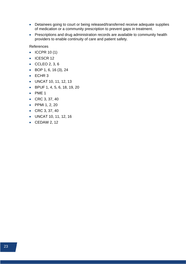- Detainees going to court or being released/transferred receive adequate supplies of medication or a community prescription to prevent gaps in treatment.
- Prescriptions and drug administration records are available to community health providers to enable continuity of care and patient safety.

References

- ICCPR 10 (1)
- ICESCR 12
- CCLEO 2, 3, 6
- BOP 1, 6, 16 (3), 24
- ECHR 3
- UNCAT 10, 11, 12, 13
- BPUF 1, 4, 5, 6, 18, 19, 20
- PME 1
- CRC 3, 37, 40
- PPMI 1, 2, 20
- CRC 3, 37, 40
- UNCAT 10, 11, 12, 16
- CEDAW 2, 12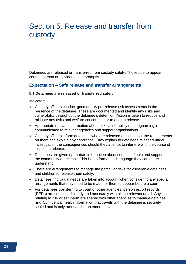## <span id="page-26-0"></span>Section 5. Release and transfer from custody

Detainees are released or transferred from custody safely. Those due to appear in court in person or by video do so promptly.

#### <span id="page-26-1"></span>**Expectation – Safe release and transfer arrangements**

#### **5.1 Detainees are released or transferred safely.**

- Custody officers conduct good quality pre-release risk assessments in the presence of the detainee. These are documented and identify any risks and vulnerability throughout the detainee's detention. Action is taken to reduce and mitigate any risks and welfare concerns prior to and on release.
- Appropriate relevant information about risk, vulnerability or safeguarding is communicated to relevant agencies and support organisations.
- Custody officers inform detainees who are released on bail about the requirements on them and explain any conditions. They explain to detainees released under investigation the consequences should they attempt to interfere with the course of justice on release.
- Detainees are given up-to-date information about sources of help and support in the community on release. This is in a format and language they can easily understand.
- There are arrangements to manage the particular risks for vulnerable detainees and children to release them safely.
- Detainees' individual needs are taken into account when considering any special arrangements that may need to be made for them to appear before a court.
- For detainees transferring to court or other agencies, person escort records (PERs) are completed clearly and accurately with all the relevant detail. Any issues relating to risk or self-harm are shared with other agencies to manage detainee risk. Confidential health information that travels with the detainee is securely sealed and is only accessed in an emergency.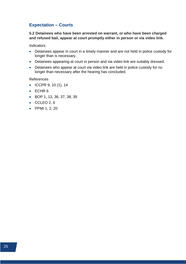## <span id="page-27-0"></span>**Expectation – Courts**

**5.2 Detainees who have been arrested on warrant, or who have been charged and refused bail, appear at court promptly either in person or via video link.**

**Indicators** 

- Detainees appear in court in a timely manner and are not held in police custody for longer than is necessary.
- Detainees appearing at court in person and via video link are suitably dressed.
- Detainees who appear at court via video link are held in police custody for no longer than necessary after the hearing has concluded.

References

- ICCPR 9, 10 (1), 14
- ECHR 6
- BOP 1, 13, 36, 37, 38, 39
- $\bullet$  CCLEO 2, 6
- PPMI 1, 2, 20